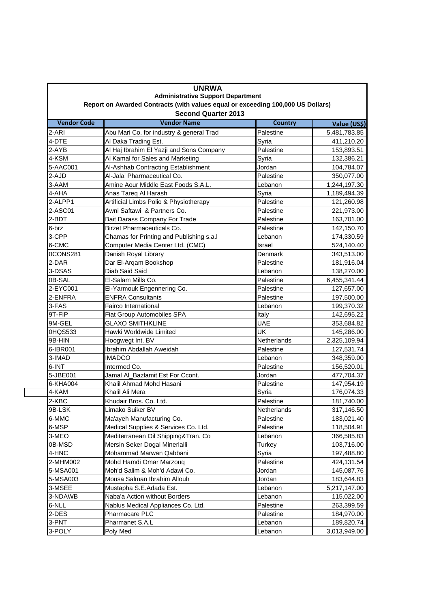| <b>UNRWA</b><br><b>Administrative Support Department</b><br>Report on Awarded Contracts (with values equal or exceeding 100,000 US Dollars)<br><b>Second Quarter 2013</b> |                                          |             |              |  |
|---------------------------------------------------------------------------------------------------------------------------------------------------------------------------|------------------------------------------|-------------|--------------|--|
|                                                                                                                                                                           |                                          |             |              |  |
| 2-ARI                                                                                                                                                                     | Abu Mari Co. for industry & general Trad | Palestine   | 5,481,783.85 |  |
| 4-DTE                                                                                                                                                                     | Al Daka Trading Est.                     | Syria       | 411,210.20   |  |
| 2-AYB                                                                                                                                                                     | Al Haj Ibrahim El Yazji and Sons Company | Palestine   | 153,893.51   |  |
| 4-KSM                                                                                                                                                                     | Al Kamal for Sales and Marketing         | Syria       | 132,386.21   |  |
| 5-AAC001                                                                                                                                                                  | Al-Ashhab Contracting Establishment      | Jordan      | 104,784.07   |  |
| 2-AJD                                                                                                                                                                     | Al-Jala' Pharmaceutical Co.              | Palestine   | 350,077.00   |  |
| 3-AAM                                                                                                                                                                     | Amine Aour Middle East Foods S.A.L.      | Lebanon     | 1,244,197.30 |  |
| 4-AHA                                                                                                                                                                     | Anas Tareq Al Harash                     | Syria       | 1,189,494.39 |  |
| 2-ALPP1                                                                                                                                                                   | Artificial Limbs Polio & Physiotherapy   | Palestine   | 121,260.98   |  |
| 2-ASC01                                                                                                                                                                   | Awni Saftawi & Partners Co.              | Palestine   | 221,973.00   |  |
| 2-BDT                                                                                                                                                                     | Bait Darass Company For Trade            | Palestine   | 163,701.00   |  |
| 6-brz                                                                                                                                                                     | Birzet Pharmaceuticals Co.               | Palestine   | 142,150.70   |  |
| 3-CPP                                                                                                                                                                     | Chamas for Printing and Publishing s.a.l | Lebanon     | 174,330.59   |  |
| 6-CMC                                                                                                                                                                     | Computer Media Center Ltd. (CMC)         | Israel      | 524,140.40   |  |
| 0CONS281                                                                                                                                                                  | Danish Royal Library                     | Denmark     | 343,513.00   |  |
| 2-DAR                                                                                                                                                                     | Dar El-Arqam Bookshop                    | Palestine   | 181,916.04   |  |
| 3-DSAS                                                                                                                                                                    | Diab Said Said                           | Lebanon     | 138,270.00   |  |
| 0B-SAL                                                                                                                                                                    | El-Salam Mills Co.                       | Palestine   | 6,455,341.44 |  |
| 2-EYC001                                                                                                                                                                  | El-Yarmouk Engennering Co.               | Palestine   | 127,657.00   |  |
| 2-ENFRA                                                                                                                                                                   | <b>ENFRA Consultants</b>                 | Palestine   | 197,500.00   |  |
| 3-FAS                                                                                                                                                                     | Fairco International                     | Lebanon     | 199,370.32   |  |
| 9T-FIP                                                                                                                                                                    | Fiat Group Automobiles SPA               | Italy       | 142,695.22   |  |
| 9M-GEL                                                                                                                                                                    | <b>GLAXO SMITHKLINE</b>                  | <b>UAE</b>  | 353,684.82   |  |
| 0HQS533                                                                                                                                                                   | Hawki Worldwide Limited                  | UK          | 145,286.00   |  |
| 9B-HIN                                                                                                                                                                    | Hoogwegt Int. BV                         | Netherlands | 2,325,109.94 |  |
| 6-IBR001                                                                                                                                                                  | Ibrahim Abdallah Aweidah                 | Palestine   | 127,531.74   |  |
| 3-IMAD                                                                                                                                                                    | <b>IMADCO</b>                            | Lebanon     | 348,359.00   |  |
| 6-INT                                                                                                                                                                     | Intermed Co.                             | Palestine   | 156,520.01   |  |
| 5-JBE001                                                                                                                                                                  | Jamal Al_Bazlamit Est For Ccont.         | Jordan      | 477,704.37   |  |
| 6-KHA004                                                                                                                                                                  | Khalil Ahmad Mohd Hasani                 | Palestine   | 147,954.19   |  |
| 4-KAM                                                                                                                                                                     | Khalil Ali Mera                          | Syria       | 176,074.33   |  |
| 2-KBC                                                                                                                                                                     | Khudair Bros. Co. Ltd.                   | Palestine   | 181,740.00   |  |
| 9B-LSK                                                                                                                                                                    | Limako Suiker BV                         | Netherlands | 317,146.50   |  |
| 6-MMC                                                                                                                                                                     | Ma'ayeh Manufacturing Co.                | Palestine   | 183,021.40   |  |
| 6-MSP                                                                                                                                                                     | Medical Supplies & Services Co. Ltd.     | Palestine   | 118,504.91   |  |
| 3-MEO                                                                                                                                                                     | Mediterranean Oil Shipping&Tran. Co      | Lebanon     | 366,585.83   |  |
| 0B-MSD                                                                                                                                                                    | Mersin Seker Dogal Minerlalli            | Turkey      | 103,716.00   |  |
| 4-HNC                                                                                                                                                                     | Mohammad Marwan Qabbani                  | Syria       | 197,488.80   |  |
| 2-MHM002                                                                                                                                                                  | Mohd Hamdi Omar Marzouq                  | Palestine   | 424,131.54   |  |
| 5-MSA001                                                                                                                                                                  | Moh'd Salim & Moh'd Adawi Co.            | Jordan      | 145,087.76   |  |
| 5-MSA003                                                                                                                                                                  | Mousa Salman Ibrahim Allouh              | Jordan      | 183,644.83   |  |
| 3-MSEE                                                                                                                                                                    | Mustapha S.E.Adada Est.                  | Lebanon     | 5,217,147.00 |  |
| 3-NDAWB                                                                                                                                                                   | Naba'a Action without Borders            | Lebanon     | 115,022.00   |  |
| 6-NLL                                                                                                                                                                     | Nablus Medical Appliances Co. Ltd.       | Palestine   | 263,399.59   |  |
| 2-DES                                                                                                                                                                     | Pharmacare PLC                           | Palestine   | 184,970.00   |  |
| 3-PNT                                                                                                                                                                     | Pharmanet S.A.L                          | Lebanon     | 189,820.74   |  |
| 3-POLY                                                                                                                                                                    | Poly Med                                 | Lebanon     | 3,013,949.00 |  |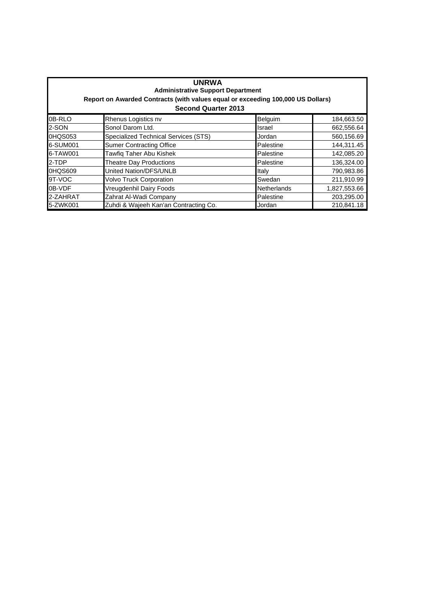| <b>UNRWA</b><br><b>Administrative Support Department</b><br>Report on Awarded Contracts (with values equal or exceeding 100,000 US Dollars)<br><b>Second Quarter 2013</b> |                                       |                    |              |  |
|---------------------------------------------------------------------------------------------------------------------------------------------------------------------------|---------------------------------------|--------------------|--------------|--|
| 0B-RLO                                                                                                                                                                    | Rhenus Logistics nv                   | Belguim            | 184,663.50   |  |
| 2-SON                                                                                                                                                                     | Sonol Darom Ltd.                      | Israel             | 662,556.64   |  |
| 0HQS053                                                                                                                                                                   | Specialized Technical Services (STS)  | Jordan             | 560,156.69   |  |
| 6-SUM001                                                                                                                                                                  | <b>Sumer Contracting Office</b>       | Palestine          | 144,311.45   |  |
| 6-TAW001                                                                                                                                                                  | Tawfig Taher Abu Kishek               | Palestine          | 142,085.20   |  |
| 2-TDP                                                                                                                                                                     | <b>Theatre Day Productions</b>        | Palestine          | 136,324.00   |  |
| 0HQS609                                                                                                                                                                   | United Nation/DFS/UNLB                | Italy              | 790,983.86   |  |
| 9T-VOC                                                                                                                                                                    | <b>Volvo Truck Corporation</b>        | Swedan             | 211,910.99   |  |
| 0B-VDF                                                                                                                                                                    | Vreugdenhil Dairy Foods               | <b>Netherlands</b> | 1,827,553.66 |  |
| 2-ZAHRAT                                                                                                                                                                  | Zahrat Al-Wadi Company                | Palestine          | 203,295.00   |  |
| 5-ZWK001                                                                                                                                                                  | Zuhdi & Wajeeh Kan'an Contracting Co. | Jordan             | 210,841.18   |  |